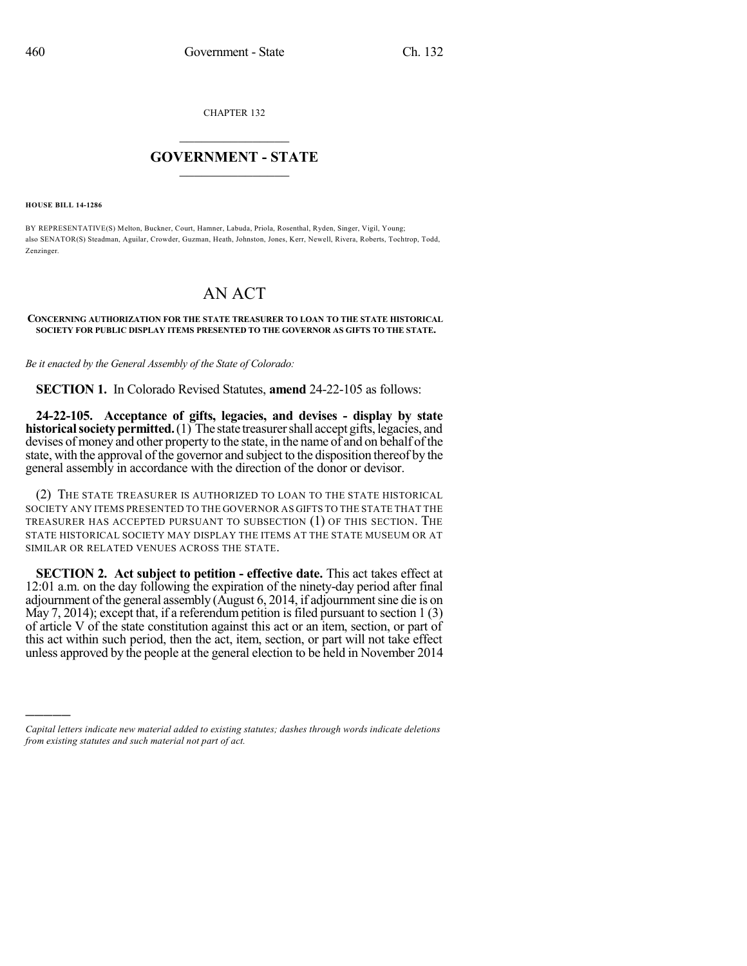CHAPTER 132

## $\mathcal{L}_\text{max}$  . The set of the set of the set of the set of the set of the set of the set of the set of the set of the set of the set of the set of the set of the set of the set of the set of the set of the set of the set **GOVERNMENT - STATE**  $\_$   $\_$

**HOUSE BILL 14-1286**

)))))

BY REPRESENTATIVE(S) Melton, Buckner, Court, Hamner, Labuda, Priola, Rosenthal, Ryden, Singer, Vigil, Young; also SENATOR(S) Steadman, Aguilar, Crowder, Guzman, Heath, Johnston, Jones, Kerr, Newell, Rivera, Roberts, Tochtrop, Todd, Zenzinger.

## AN ACT

## **CONCERNING AUTHORIZATION FOR THE STATE TREASURER TO LOAN TO THE STATE HISTORICAL SOCIETY FOR PUBLIC DISPLAY ITEMS PRESENTED TO THE GOVERNOR AS GIFTS TO THE STATE.**

*Be it enacted by the General Assembly of the State of Colorado:*

**SECTION 1.** In Colorado Revised Statutes, **amend** 24-22-105 as follows:

**24-22-105. Acceptance of gifts, legacies, and devises - display by state historicalsocietypermitted.**(1) The state treasurershall accept gifts, legacies, and devises of money and other property to the state, in the name of and on behalf of the state, with the approval of the governor and subject to the disposition thereof by the general assembly in accordance with the direction of the donor or devisor.

(2) THE STATE TREASURER IS AUTHORIZED TO LOAN TO THE STATE HISTORICAL SOCIETY ANY ITEMS PRESENTED TO THE GOVERNOR AS GIFTS TO THE STATE THAT THE TREASURER HAS ACCEPTED PURSUANT TO SUBSECTION (1) OF THIS SECTION. THE STATE HISTORICAL SOCIETY MAY DISPLAY THE ITEMS AT THE STATE MUSEUM OR AT SIMILAR OR RELATED VENUES ACROSS THE STATE.

**SECTION 2. Act subject to petition - effective date.** This act takes effect at 12:01 a.m. on the day following the expiration of the ninety-day period after final adjournment of the general assembly (August 6, 2014, if adjournment sine die is on May 7, 2014); except that, if a referendum petition is filed pursuant to section  $1(3)$ of article V of the state constitution against this act or an item, section, or part of this act within such period, then the act, item, section, or part will not take effect unless approved by the people at the general election to be held in November 2014

*Capital letters indicate new material added to existing statutes; dashes through words indicate deletions from existing statutes and such material not part of act.*